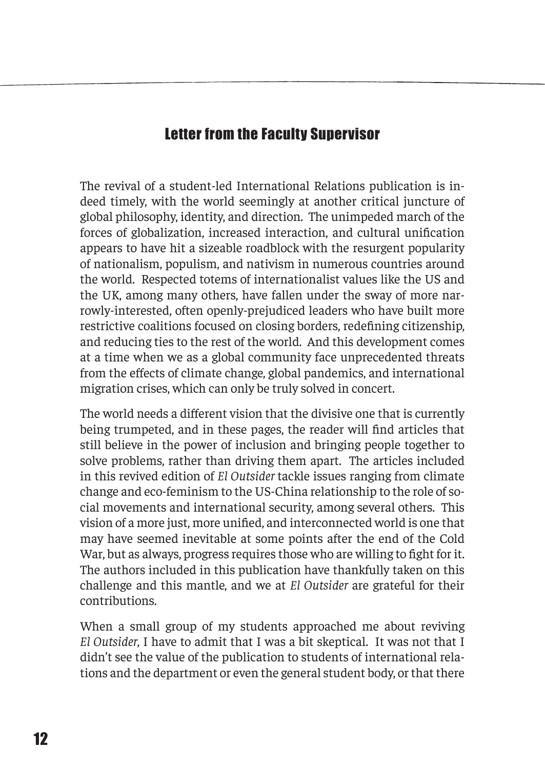## Letter from the Faculty Supervisor

The revival of a student-led International Relations publication is indeed timely, with the world seemingly at another critical juncture of global philosophy, identity, and direction. The unimpeded march of the forces of globalization, increased interaction, and cultural unification appears to have hit a sizeable roadblock with the resurgent popularity of nationalism, populism, and nativism in numerous countries around the world. Respected totems of internationalist values like the US and the UK, among many others, have fallen under the sway of more narrowly-interested, often openly-prejudiced leaders who have built more restrictive coalitions focused on closing borders, redefining citizenship, and reducing ties to the rest of the world. And this development comes at a time when we as a global community face unprecedented threats from the effects of climate change, global pandemics, and international migration crises, which can only be truly solved in concert.

The world needs a different vision that the divisive one that is currently being trumpeted, and in these pages, the reader will find articles that still believe in the power of inclusion and bringing people together to solve problems, rather than driving them apart. The articles included in this revived edition of *El Outsider* tackle issues ranging from climate change and eco-feminism to the US-China relationship to the role of social movements and international security, among several others. This vision of a more just, more unified, and interconnected world is one that may have seemed inevitable at some points after the end of the Cold War, but as always, progress requires those who are willing to fight for it. The authors included in this publication have thankfully taken on this challenge and this mantle, and we at *El Outsider* are grateful for their contributions.

When a small group of my students approached me about reviving *El Outsider*, I have to admit that I was a bit skeptical. It was not that I didn't see the value of the publication to students of international relations and the department or even the general student body, or that there